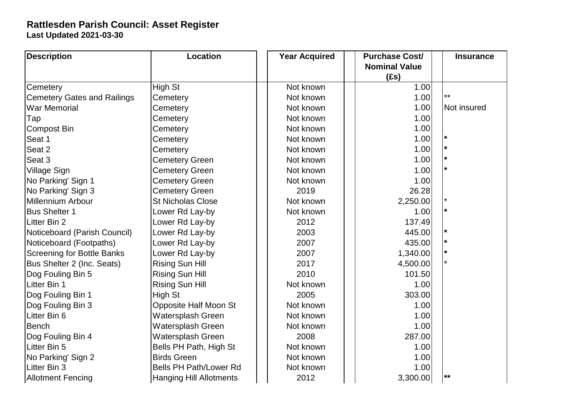## **Last Updated 2021-03-30 Rattlesden Parish Council: Asset Register**

| <b>Description</b>                 | <b>Location</b>                |  | <b>Year Acquired</b> | <b>Purchase Cost/</b> | <b>Insurance</b> |  |
|------------------------------------|--------------------------------|--|----------------------|-----------------------|------------------|--|
|                                    |                                |  |                      | <b>Nominal Value</b>  |                  |  |
|                                    |                                |  |                      | (fs)                  |                  |  |
| Cemetery                           | High St                        |  | Not known            | 1.00                  |                  |  |
| <b>Cemetery Gates and Railings</b> | Cemetery                       |  | Not known            | 1.00                  | $***$            |  |
| <b>War Memorial</b>                | Cemetery                       |  | Not known            | 1.00                  | Not insured      |  |
| Tap                                | Cemetery                       |  | Not known            | 1.00                  |                  |  |
| <b>Compost Bin</b>                 | Cemetery                       |  | Not known            | 1.00                  |                  |  |
| Seat 1                             | Cemetery                       |  | Not known            | 1.00                  |                  |  |
| Seat 2                             | Cemetery                       |  | Not known            | 1.00                  |                  |  |
| Seat 3                             | <b>Cemetery Green</b>          |  | Not known            | 1.00                  |                  |  |
| <b>Village Sign</b>                | <b>Cemetery Green</b>          |  | Not known            | 1.00                  | $\star$          |  |
| No Parking' Sign 1                 | <b>Cemetery Green</b>          |  | Not known            | 1.00                  |                  |  |
| No Parking' Sign 3                 | <b>Cemetery Green</b>          |  | 2019                 | 26.28                 |                  |  |
| Millennium Arbour                  | <b>St Nicholas Close</b>       |  | Not known            | 2,250.00              |                  |  |
| <b>Bus Shelter 1</b>               | Lower Rd Lay-by                |  | Not known            | 1.00                  |                  |  |
| Litter Bin 2                       | Lower Rd Lay-by                |  | 2012                 | 137.49                |                  |  |
| Noticeboard (Parish Council)       | Lower Rd Lay-by                |  | 2003                 | 445.00                |                  |  |
| Noticeboard (Footpaths)            | Lower Rd Lay-by                |  | 2007                 | 435.00                |                  |  |
| <b>Screening for Bottle Banks</b>  | Lower Rd Lay-by                |  | 2007                 | 1,340.00              |                  |  |
| Bus Shelter 2 (Inc. Seats)         | <b>Rising Sun Hill</b>         |  | 2017                 | 4,500.00              |                  |  |
| Dog Fouling Bin 5                  | <b>Rising Sun Hill</b>         |  | 2010                 | 101.50                |                  |  |
| Litter Bin 1                       | <b>Rising Sun Hill</b>         |  | Not known            | 1.00                  |                  |  |
| Dog Fouling Bin 1                  | High St                        |  | 2005                 | 303.00                |                  |  |
| Dog Fouling Bin 3                  | <b>Opposite Half Moon St</b>   |  | Not known            | 1.00                  |                  |  |
| Litter Bin 6                       | Watersplash Green              |  | Not known            | 1.00                  |                  |  |
| <b>Bench</b>                       | Watersplash Green              |  | Not known            | 1.00                  |                  |  |
| Dog Fouling Bin 4                  | Watersplash Green              |  | 2008                 | 287.00                |                  |  |
| Litter Bin 5                       | Bells PH Path, High St         |  | Not known            | 1.00                  |                  |  |
| No Parking' Sign 2                 | <b>Birds Green</b>             |  | Not known            | 1.00                  |                  |  |
| Litter Bin 3                       | <b>Bells PH Path/Lower Rd</b>  |  | Not known            | 1.00                  |                  |  |
| <b>Allotment Fencing</b>           | <b>Hanging Hill Allotments</b> |  | 2012                 | 3,300.00              | $\star\star$     |  |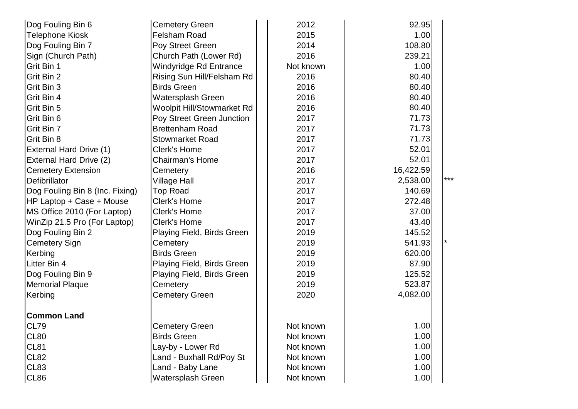| Dog Fouling Bin 6               | <b>Cemetery Green</b>      | 2012      | 92.95     |       |
|---------------------------------|----------------------------|-----------|-----------|-------|
| <b>Telephone Kiosk</b>          | Felsham Road               | 2015      | 1.00      |       |
| Dog Fouling Bin 7               | Poy Street Green           | 2014      | 108.80    |       |
| Sign (Church Path)              | Church Path (Lower Rd)     | 2016      | 239.21    |       |
| Grit Bin 1                      | Windyridge Rd Entrance     | Not known | 1.00      |       |
| Grit Bin 2                      | Rising Sun Hill/Felsham Rd | 2016      | 80.40     |       |
| Grit Bin 3                      | <b>Birds Green</b>         | 2016      | 80.40     |       |
| Grit Bin 4                      | Watersplash Green          | 2016      | 80.40     |       |
| Grit Bin 5                      | Woolpit Hill/Stowmarket Rd | 2016      | 80.40     |       |
| Grit Bin 6                      | Poy Street Green Junction  | 2017      | 71.73     |       |
| Grit Bin 7                      | <b>Brettenham Road</b>     | 2017      | 71.73     |       |
| Grit Bin 8                      | <b>Stowmarket Road</b>     | 2017      | 71.73     |       |
| <b>External Hard Drive (1)</b>  | <b>Clerk's Home</b>        | 2017      | 52.01     |       |
| External Hard Drive (2)         | <b>Chairman's Home</b>     | 2017      | 52.01     |       |
| <b>Cemetery Extension</b>       | Cemetery                   | 2016      | 16,422.59 |       |
| Defibrillator                   | <b>Village Hall</b>        | 2017      | 2,538.00  | $***$ |
| Dog Fouling Bin 8 (Inc. Fixing) | <b>Top Road</b>            | 2017      | 140.69    |       |
| HP Laptop + Case + Mouse        | <b>Clerk's Home</b>        | 2017      | 272.48    |       |
| MS Office 2010 (For Laptop)     | <b>Clerk's Home</b>        | 2017      | 37.00     |       |
| WinZip 21.5 Pro (For Laptop)    | Clerk's Home               | 2017      | 43.40     |       |
| Dog Fouling Bin 2               | Playing Field, Birds Green | 2019      | 145.52    |       |
| <b>Cemetery Sign</b>            | Cemetery                   | 2019      | 541.93    |       |
| Kerbing                         | <b>Birds Green</b>         | 2019      | 620.00    |       |
| Litter Bin 4                    | Playing Field, Birds Green | 2019      | 87.90     |       |
| Dog Fouling Bin 9               | Playing Field, Birds Green | 2019      | 125.52    |       |
| <b>Memorial Plaque</b>          | Cemetery                   | 2019      | 523.87    |       |
| Kerbing                         | <b>Cemetery Green</b>      | 2020      | 4,082.00  |       |
| <b>Common Land</b>              |                            |           |           |       |
| CL79                            | <b>Cemetery Green</b>      | Not known | 1.00      |       |
| <b>CL80</b>                     | <b>Birds Green</b>         | Not known | 1.00      |       |
| <b>CL81</b>                     | Lay-by - Lower Rd          | Not known | 1.00      |       |
| <b>CL82</b>                     | Land - Buxhall Rd/Poy St   | Not known | 1.00      |       |
| CL83                            | Land - Baby Lane           | Not known | 1.00      |       |
| CL86                            | Watersplash Green          | Not known | 1.00      |       |